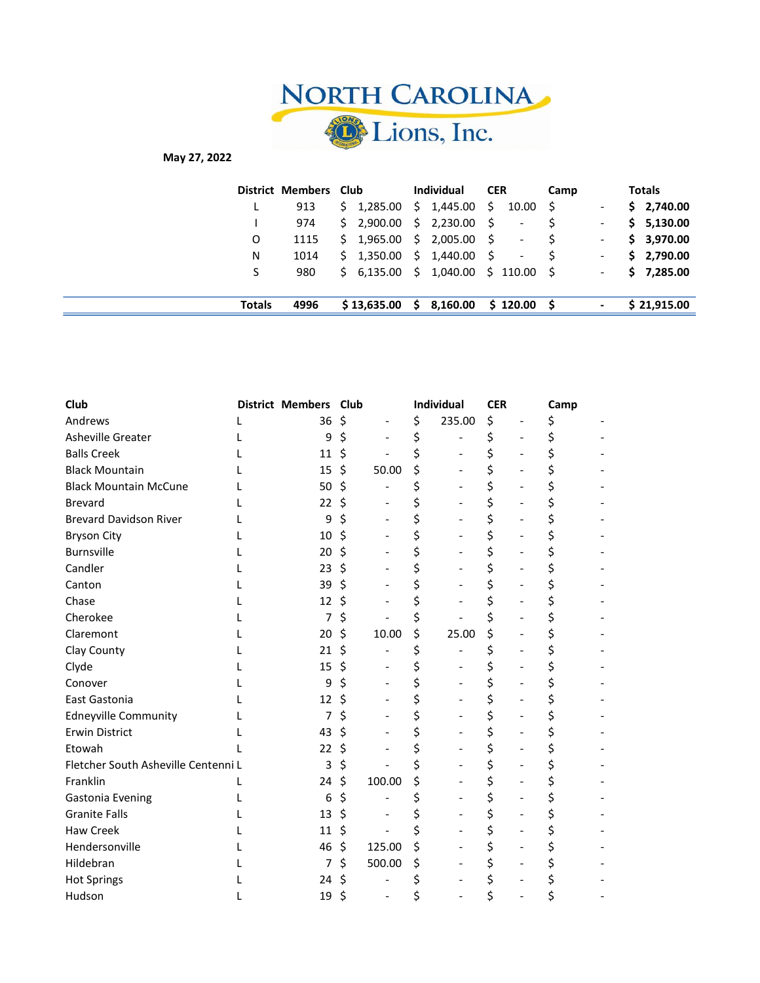

## May 27, 2022

|               | District Members Club |  |                          | Individual |                                    | <b>CER</b> |                          | Camp |                          | <b>Totals</b> |             |
|---------------|-----------------------|--|--------------------------|------------|------------------------------------|------------|--------------------------|------|--------------------------|---------------|-------------|
| ъ.            | 913                   |  | $$1,285.00 \$1,445.00$   |            |                                    | -S         | 10.00                    | S.   | $\overline{\phantom{a}}$ |               | \$2,740.00  |
|               | 974                   |  | $$2,900.00$$ $$2,230.00$ |            |                                    | - S        | $\overline{\phantom{a}}$ |      | $\overline{\phantom{a}}$ |               | \$5,130.00  |
| O             | 1115                  |  | $$1,965.00 \$2,005.00$   |            |                                    | - S        | $\overline{\phantom{a}}$ |      | $\overline{\phantom{a}}$ |               | \$3,970.00  |
| N             | 1014                  |  | $$1,350.00 \$1,440.00$   |            |                                    | - S        | $\overline{\phantom{a}}$ |      | $\overline{\phantom{a}}$ |               | \$2,790.00  |
| S             | 980                   |  |                          |            | $$6,135.00 \$1,040.00 \$110.00 \$$ |            |                          |      | $\overline{\phantom{a}}$ |               | \$7,285.00  |
| <b>Totals</b> | 4996                  |  | \$13,635.00              |            | \$3,160.00                         |            | \$120.00                 | - S  | $\overline{\phantom{a}}$ |               | \$21,915.00 |

| Club                                |   | District Members Club |    |                          | Individual   | <b>CER</b> |                | Camp |  |
|-------------------------------------|---|-----------------------|----|--------------------------|--------------|------------|----------------|------|--|
| Andrews                             | L | 36                    | \$ |                          | \$<br>235.00 | \$         |                | \$   |  |
| Asheville Greater                   |   | 9                     | \$ |                          | \$           | \$         |                | \$   |  |
| <b>Balls Creek</b>                  |   | 11                    | \$ |                          | \$           | \$         |                |      |  |
| <b>Black Mountain</b>               |   | 15                    | Ŝ. | 50.00                    | \$           | \$         |                | \$   |  |
| <b>Black Mountain McCune</b>        |   | 50                    | Ŝ. | $\blacksquare$           | \$           | \$         | $\overline{a}$ | \$   |  |
| <b>Brevard</b>                      |   | 22                    | \$ |                          | \$           | \$         |                | \$   |  |
| <b>Brevard Davidson River</b>       |   | 9                     | Ś  | $\blacksquare$           | \$           | \$         |                | \$   |  |
| <b>Bryson City</b>                  |   | 10                    | \$ |                          | \$           | \$         |                |      |  |
| <b>Burnsville</b>                   |   | 20                    | Ś. |                          | \$           | \$         |                | \$   |  |
| Candler                             |   | 23                    | Ś. |                          | \$           | \$         |                | \$   |  |
| Canton                              |   | 39                    | Ś. |                          | \$           | \$         |                | \$   |  |
| Chase                               |   | 12                    | Ś  | $\blacksquare$           | \$           | \$         |                | \$   |  |
| Cherokee                            |   | $\overline{7}$        | \$ |                          | \$           | \$         |                |      |  |
| Claremont                           |   | 20                    | \$ | 10.00                    | \$<br>25.00  | \$         |                |      |  |
| Clay County                         |   | 21                    | Ŝ  |                          | \$           | \$         |                |      |  |
| Clyde                               |   | 15                    | Ś. |                          | \$           | \$         |                | \$   |  |
| Conover                             |   | 9                     |    | $\blacksquare$           | \$           | \$         |                | \$   |  |
| East Gastonia                       |   | 12                    | Ŝ. |                          | \$           | \$         |                | \$   |  |
| <b>Edneyville Community</b>         |   | 7                     | Ś  |                          | \$           | \$         |                | \$   |  |
| <b>Erwin District</b>               |   | 43                    | Ś  |                          | \$           | \$         |                |      |  |
| Etowah                              |   | 22                    | \$ |                          | \$           | \$         |                | \$   |  |
| Fletcher South Asheville Centenni L |   | 3                     | Ś  |                          | \$           | \$         |                |      |  |
| Franklin                            |   | 24                    | Ŝ. | 100.00                   | \$           | \$         |                | \$   |  |
| Gastonia Evening                    |   | 6                     | Ś  | $\overline{\phantom{a}}$ | \$           | \$         | $\overline{a}$ | \$   |  |
| <b>Granite Falls</b>                |   | 13                    | \$ |                          | \$           | \$         |                |      |  |
| <b>Haw Creek</b>                    |   | 11                    | \$ |                          | \$           | \$         |                |      |  |
| Hendersonville                      |   | 46                    | \$ | 125.00                   | \$           | \$         |                |      |  |
| Hildebran                           |   | 7                     | Ś. | 500.00                   | \$           | \$         |                |      |  |
| <b>Hot Springs</b>                  |   | 24                    |    |                          |              | \$         |                |      |  |
| Hudson                              |   | 19                    | \$ |                          | \$           | \$         |                |      |  |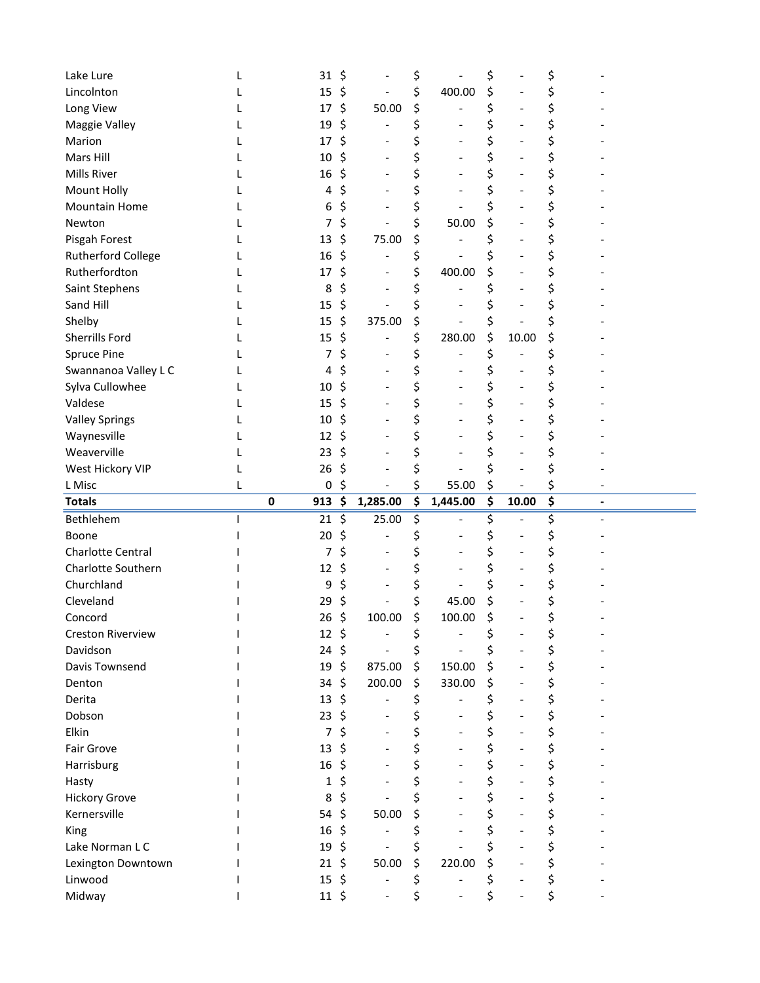| Lake Lure                |   | 31               | \$                             | \$             | \$          | \$                   |  |
|--------------------------|---|------------------|--------------------------------|----------------|-------------|----------------------|--|
| Lincolnton               |   | 15               | \$                             | \$<br>400.00   | \$          |                      |  |
| Long View                |   | 17               | \$<br>50.00                    | \$             | \$          | \$                   |  |
| Maggie Valley            |   | 19               | \$                             | \$             | \$          | \$                   |  |
| Marion                   |   | 17               | \$                             | \$             |             | \$                   |  |
| Mars Hill                |   | 10               | \$                             | \$             | \$          |                      |  |
| Mills River              |   | 16               | \$                             | \$             | \$          | \$                   |  |
| Mount Holly              |   | 4                | \$                             | \$             | \$          | \$                   |  |
| Mountain Home            |   | 6                | \$                             | \$             | \$          | \$                   |  |
| Newton                   |   | 7                | \$                             | \$<br>50.00    | \$          | \$                   |  |
| Pisgah Forest            |   | 13               | \$<br>75.00                    | \$             |             |                      |  |
| Rutherford College       |   | 16               | \$                             | \$             |             | \$                   |  |
| Rutherfordton            |   | 17               | \$                             | \$<br>400.00   | \$          | \$                   |  |
| Saint Stephens           |   | 8                | \$<br>$\overline{\phantom{a}}$ | \$             |             | \$                   |  |
| Sand Hill                |   | 15               | \$                             | \$             |             | \$                   |  |
| Shelby                   |   | 15               | \$<br>375.00                   | \$             | \$          |                      |  |
| Sherrills Ford           |   | 15               | \$                             | \$<br>280.00   | \$<br>10.00 | \$                   |  |
| Spruce Pine              |   | 7                | \$                             | \$             | \$          | \$                   |  |
| Swannanoa Valley L C     |   | 4                | \$                             | \$             | \$          |                      |  |
| Sylva Cullowhee          |   | 10               | \$                             | \$             | \$          | \$                   |  |
| Valdese                  |   | 15               | \$                             | \$             | \$          |                      |  |
| <b>Valley Springs</b>    |   | 10               | \$                             | \$             | \$          | \$                   |  |
|                          |   |                  | \$                             |                | \$          |                      |  |
| Waynesville              |   | 12               |                                | \$             |             | \$                   |  |
| Weaverville              |   | 23               | \$                             | \$             | \$          | \$                   |  |
| West Hickory VIP         |   | 26               | \$                             | \$             | \$          | \$                   |  |
|                          |   |                  |                                |                |             |                      |  |
| L Misc                   | L | 0                | \$                             | \$<br>55.00    |             | \$                   |  |
| <b>Totals</b>            |   | $\pmb{0}$<br>913 | \$<br>1,285.00                 | \$<br>1,445.00 | \$<br>10.00 | \$<br>$\overline{a}$ |  |
| Bethlehem                |   | 21               | \$<br>25.00                    | \$             | \$          | \$                   |  |
| Boone                    |   | 20               | \$                             | \$             |             |                      |  |
| <b>Charlotte Central</b> |   | 7                | \$                             | \$             |             |                      |  |
| Charlotte Southern       |   | 12               | \$                             | \$             | \$          | \$                   |  |
| Churchland               |   | 9                | \$                             | \$             | \$          | \$                   |  |
| Cleveland                |   | 29               | \$                             | \$<br>45.00    | \$          | \$                   |  |
| Concord                  |   | 26               | \$<br>100.00                   | \$<br>100.00   | \$          | \$                   |  |
| <b>Creston Riverview</b> |   | $12 \div$        |                                | \$             | \$          | \$                   |  |
| Davidson                 |   | 24               | \$                             | \$             | \$          | \$                   |  |
| Davis Townsend           |   | 19               | \$<br>875.00                   | \$<br>150.00   | \$          | \$                   |  |
| Denton                   |   | 34               | \$<br>200.00                   | \$<br>330.00   | \$          | \$                   |  |
| Derita                   |   | 13               | \$                             | \$             |             | \$                   |  |
| Dobson                   |   | 23               | \$                             | \$             | \$          | \$                   |  |
| Elkin                    |   | 7                | \$                             | \$             | \$          | \$                   |  |
| Fair Grove               |   | 13               | \$                             | \$             | \$          | \$                   |  |
| Harrisburg               |   | 16               | \$                             | \$             | \$          | \$                   |  |
| Hasty                    |   | 1                | \$                             | \$             | \$          | \$                   |  |
| <b>Hickory Grove</b>     |   | 8                | \$                             |                | \$          | \$                   |  |
| Kernersville             |   | 54               | \$<br>50.00                    | \$             | \$          | \$                   |  |
| King                     |   | 16               | \$                             | \$             | \$          | \$                   |  |
| Lake Norman L C          |   | 19               | \$                             | \$             | \$          | \$                   |  |
| Lexington Downtown       |   | 21               | \$<br>50.00                    | \$<br>220.00   | \$          | \$                   |  |
| Linwood                  |   | 15               | \$                             | \$             | \$          | \$                   |  |
| Midway                   |   | $11 \; \xi$      |                                | \$             | \$          | \$                   |  |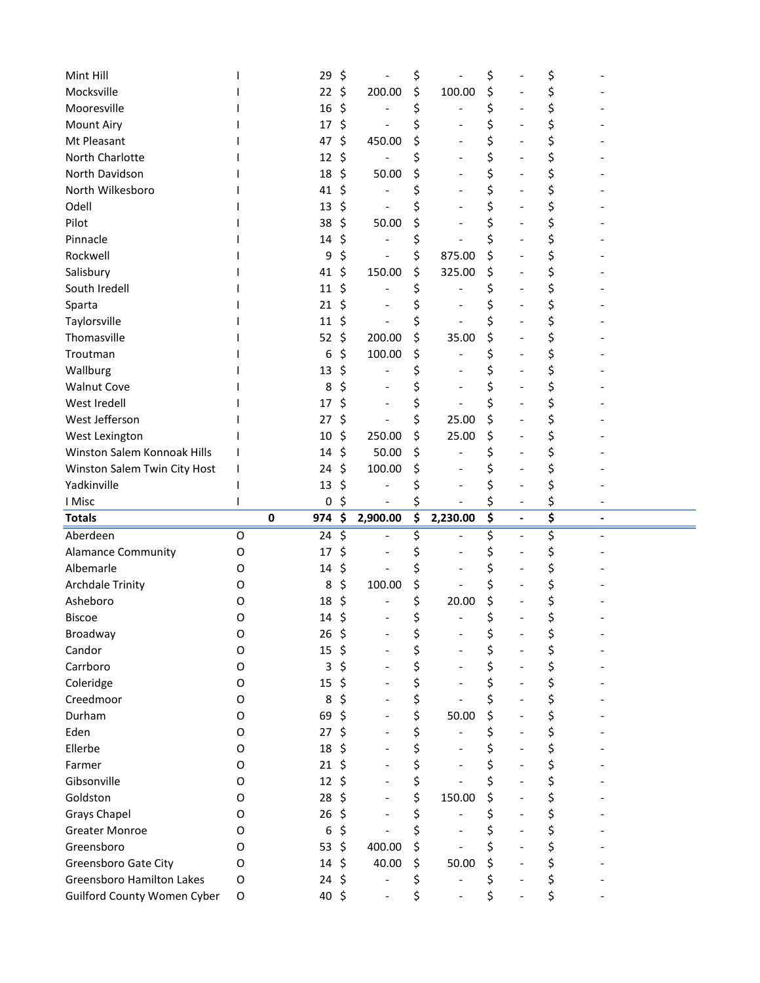| Mint Hill                                                              |                  | 29                              | \$       |          | \$       |                                   | \$       |                          | \$       |                          |
|------------------------------------------------------------------------|------------------|---------------------------------|----------|----------|----------|-----------------------------------|----------|--------------------------|----------|--------------------------|
| Mocksville                                                             |                  | 22                              | \$       | 200.00   | \$       | 100.00                            | \$       |                          |          |                          |
| Mooresville                                                            |                  | 16                              | \$       |          | \$       |                                   | \$       |                          | \$       |                          |
| <b>Mount Airy</b>                                                      |                  | 17                              | \$       |          | \$       | $\overline{\phantom{0}}$          | \$       |                          | \$       |                          |
| Mt Pleasant                                                            |                  | 47                              | \$       | 450.00   | \$       |                                   | \$       |                          |          |                          |
| North Charlotte                                                        |                  | 12                              | \$       |          |          |                                   | \$       |                          |          |                          |
| North Davidson                                                         |                  | 18                              | \$       | 50.00    | \$       |                                   | \$       |                          | \$       |                          |
| North Wilkesboro                                                       |                  | 41                              | \$       |          |          |                                   | \$       |                          | \$       |                          |
| Odell                                                                  |                  | 13                              | \$       |          |          |                                   | \$       |                          | \$       |                          |
| Pilot                                                                  |                  | 38                              | \$       | 50.00    | \$       |                                   | \$       |                          | \$       |                          |
| Pinnacle                                                               |                  | 14                              | \$       |          | \$       |                                   | \$       |                          |          |                          |
| Rockwell                                                               |                  | 9                               | \$       |          | \$       | 875.00                            | \$       |                          | \$       |                          |
| Salisbury                                                              |                  | 41                              | \$       | 150.00   | \$       | 325.00                            | \$       |                          | \$       |                          |
| South Iredell                                                          |                  | 11                              | \$       |          | \$       |                                   | \$       |                          | \$       |                          |
| Sparta                                                                 |                  | 21                              | \$       |          |          |                                   | \$       |                          | \$       |                          |
| Taylorsville                                                           |                  | 11                              | \$       |          | \$       |                                   | \$       |                          |          |                          |
| Thomasville                                                            |                  | 52                              | \$       | 200.00   | \$       | 35.00                             | \$       |                          | \$       |                          |
| Troutman                                                               |                  | 6                               | \$       | 100.00   | \$       |                                   | \$       |                          | \$       |                          |
| Wallburg                                                               |                  | 13                              | \$       |          | Ś        |                                   | \$       |                          | \$       |                          |
| <b>Walnut Cove</b>                                                     |                  | 8                               | \$       |          |          |                                   | \$       |                          | \$       |                          |
| West Iredell                                                           |                  | 17                              | \$       |          | \$       |                                   | \$       |                          |          |                          |
| West Jefferson                                                         |                  | 27                              | \$       |          | \$       | 25.00                             | \$       |                          | \$       |                          |
| West Lexington                                                         |                  | 10                              | \$       | 250.00   | \$       | 25.00                             | \$       |                          | \$       |                          |
| Winston Salem Konnoak Hills                                            |                  | 14                              | \$       | 50.00    | \$       |                                   | \$       |                          | \$       |                          |
| Winston Salem Twin City Host                                           |                  | 24                              | \$       | 100.00   | \$       |                                   | \$       |                          |          |                          |
|                                                                        |                  |                                 |          |          |          |                                   |          |                          |          |                          |
|                                                                        |                  |                                 |          |          |          |                                   |          |                          |          |                          |
| Yadkinville                                                            |                  | 13                              | \$       |          |          |                                   | \$       |                          |          |                          |
| I Misc<br><b>Totals</b>                                                |                  | $\pmb{0}$<br>$\mathbf 0$<br>974 | \$<br>\$ | 2,900.00 | \$<br>\$ | 2,230.00                          | \$<br>\$ | $\blacksquare$           | \$<br>\$ | $\overline{\phantom{a}}$ |
|                                                                        | O                |                                 |          |          |          |                                   |          | $\blacksquare$           |          |                          |
| Aberdeen                                                               | O                | 24<br>17                        | \$       |          | \$       |                                   | \$       |                          | \$       |                          |
| <b>Alamance Community</b>                                              | O                | 14                              | \$       |          |          |                                   | \$       |                          |          |                          |
| Albemarle                                                              |                  |                                 | \$       |          | \$       |                                   | \$       |                          | \$       |                          |
| <b>Archdale Trinity</b>                                                | O<br>O           | 8                               | \$       | 100.00   | \$       |                                   | \$       |                          |          |                          |
| Asheboro                                                               | O                | 18                              | \$       |          | \$       | 20.00<br>$\overline{\phantom{0}}$ | \$       |                          | \$       |                          |
| <b>Biscoe</b>                                                          |                  | 14                              | \$       |          | \$       |                                   | \$       |                          | \$       |                          |
| Broadway                                                               | O<br>O           | 26                              | \$       |          | \$       |                                   | \$       |                          | \$       |                          |
| Candor                                                                 |                  | 15                              | \$       |          | \$       |                                   | \$       |                          | \$       |                          |
| Carrboro                                                               | O<br>O           | 3                               | \$       |          | \$       | $\overline{\phantom{0}}$          | \$       | $\overline{\phantom{a}}$ | \$       |                          |
| Coleridge                                                              |                  | 15                              | \$       |          | \$       |                                   | \$       |                          | \$       |                          |
| Creedmoor                                                              | O                | 8                               | \$       |          | \$       |                                   | \$       |                          | \$       |                          |
| Durham                                                                 | O<br>O           | 69                              | \$       |          | \$       | 50.00                             | \$       |                          | \$       |                          |
| Eden                                                                   |                  | 27                              | \$       |          | \$       |                                   | \$       | $\overline{a}$           | \$       |                          |
| Ellerbe                                                                | O                | 18                              | \$       |          | \$       | $\overline{\phantom{0}}$          | \$       |                          | \$       |                          |
| Farmer                                                                 | O                | 21                              | \$       |          | \$       |                                   | \$       |                          | \$       |                          |
| Gibsonville                                                            | O                | 12                              | \$       |          | \$       |                                   | \$       |                          | \$       |                          |
| Goldston                                                               | O<br>O           | 28                              | \$       |          | \$       | 150.00                            | \$       |                          | \$       |                          |
| <b>Grays Chapel</b>                                                    |                  | 26                              | \$       |          | \$       |                                   | \$       | $\overline{\phantom{a}}$ | \$       |                          |
| <b>Greater Monroe</b>                                                  | O                | 6                               | \$       |          | \$       |                                   | \$       | $\overline{\phantom{a}}$ | \$       |                          |
| Greensboro                                                             | O                | 53                              | \$       | 400.00   | \$       |                                   | \$       |                          | \$       |                          |
| Greensboro Gate City                                                   | O                | 14                              | \$       | 40.00    | \$       | 50.00                             | \$       |                          | \$       |                          |
| <b>Greensboro Hamilton Lakes</b><br><b>Guilford County Women Cyber</b> | O<br>$\mathsf O$ | 24<br>40 \$                     | \$       |          | \$<br>\$ |                                   | \$<br>\$ |                          | \$<br>\$ |                          |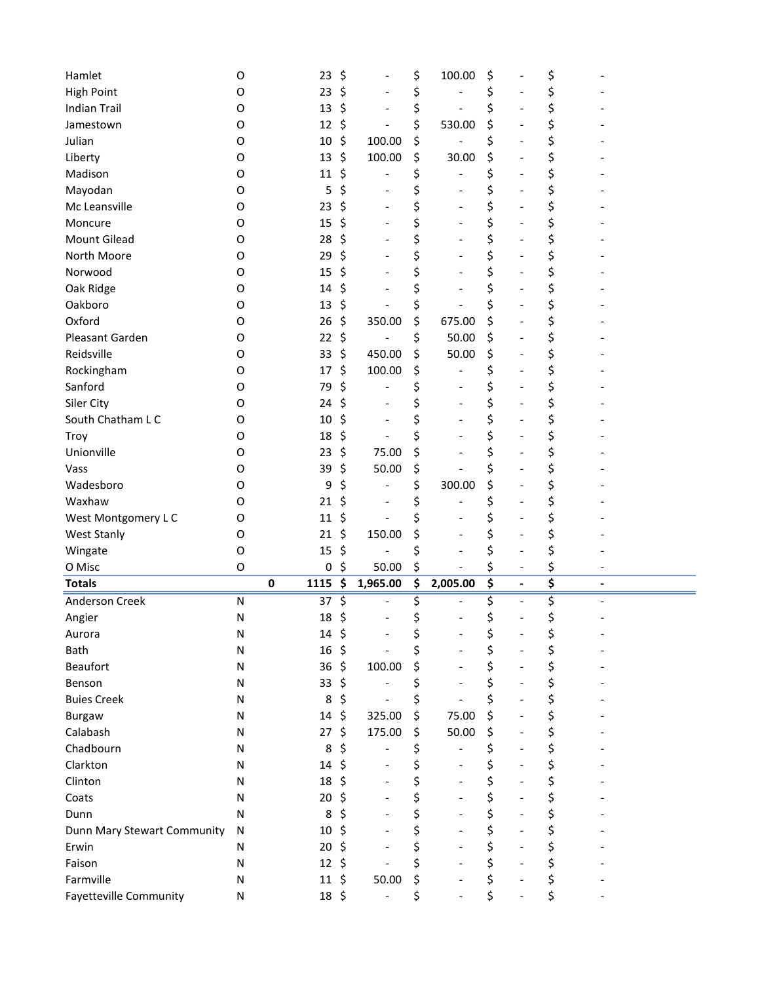| Hamlet<br>O                               |   | 23        | \$                             | \$       | 100.00                   | \$       |                          | \$       |                              |
|-------------------------------------------|---|-----------|--------------------------------|----------|--------------------------|----------|--------------------------|----------|------------------------------|
| <b>High Point</b><br>0                    |   | 23        | \$                             | \$       |                          | \$       |                          | \$       |                              |
| <b>Indian Trail</b><br>O                  |   | 13        | \$<br>$\overline{\phantom{a}}$ | \$       |                          | \$       |                          | \$       |                              |
| Jamestown<br>O                            |   | 12        | \$                             | \$       | 530.00                   | \$       |                          | \$       |                              |
| Julian<br>O                               |   | 10        | \$<br>100.00                   | \$       |                          | \$       |                          | \$       |                              |
| Liberty<br>O                              |   | 13        | \$<br>100.00                   | \$       | 30.00                    | \$       |                          | \$       |                              |
| Madison<br>O                              |   | 11        | \$                             | \$       |                          | \$       |                          | \$       |                              |
| Mayodan<br>O                              |   | 5         | \$<br>$\overline{\phantom{a}}$ | \$       |                          | \$       |                          | \$       |                              |
| Mc Leansville<br>O                        |   | 23        | \$                             | \$       |                          | \$       |                          | \$       |                              |
| Moncure<br>O                              |   | 15        | \$                             | \$       |                          | \$       |                          | \$       |                              |
| Mount Gilead<br>O                         |   | 28        | \$                             | \$       |                          | \$       |                          | \$       |                              |
| North Moore<br>O                          |   | 29        | \$                             | \$       |                          | \$       |                          | \$       |                              |
| Norwood<br>O                              |   | 15        | \$<br>$\overline{\phantom{a}}$ | \$       |                          | \$       |                          | \$       |                              |
| Oak Ridge<br>0                            |   | 14        | \$                             | \$       |                          | \$       |                          | \$       |                              |
| Oakboro<br>O                              |   | 13        | \$                             | \$       |                          | \$       |                          | \$       |                              |
| Oxford<br>O                               |   | 26        | \$<br>350.00                   | \$       | 675.00                   | \$       |                          | \$       |                              |
| Pleasant Garden<br>0                      |   | 22        | \$                             | \$       | 50.00                    | \$       |                          | \$       |                              |
| Reidsville<br>O                           |   | 33        | \$<br>450.00                   | \$       | 50.00                    | \$       | -                        | \$       |                              |
| Rockingham<br>O                           |   | 17        | \$<br>100.00                   | \$       |                          |          |                          | \$       |                              |
| Sanford<br>O                              |   | 79        | \$                             | \$       |                          | \$       |                          |          |                              |
|                                           |   |           |                                |          |                          | \$       |                          | \$       |                              |
| Siler City<br>O                           |   | 24        | \$                             | \$       |                          | \$       |                          | \$       |                              |
| South Chatham L C<br>O                    |   | 10        | \$<br>$\overline{\phantom{a}}$ | \$       | $\overline{\phantom{a}}$ | \$       |                          | \$       |                              |
| Troy<br>O                                 |   | 18        | \$                             | \$       |                          | \$       |                          | \$       |                              |
| Unionville<br>O                           |   | 23        | \$<br>75.00                    | \$       |                          | \$       |                          | \$       |                              |
| Vass<br>0                                 |   | 39        | \$<br>50.00                    | \$       |                          | \$       |                          | \$       |                              |
| Wadesboro<br>O                            |   | 9         | \$                             | \$       | 300.00                   | \$       |                          | \$       |                              |
| Waxhaw<br>O                               |   | 21        | \$<br>$\overline{\phantom{a}}$ | \$       |                          | \$       |                          | \$       |                              |
| West Montgomery LC<br>O                   |   | 11        | \$                             | \$       |                          | \$       |                          | \$       |                              |
| <b>West Stanly</b><br>O                   |   | 21        | \$<br>150.00                   | \$       |                          | \$       |                          | \$       |                              |
| O<br>Wingate                              |   | 15        | \$                             | \$       |                          | \$       |                          | \$       |                              |
| O Misc<br>O                               |   | $\pmb{0}$ | \$<br>50.00                    | \$       |                          | \$       |                          | \$       |                              |
| <b>Totals</b>                             | 0 | 1115      | \$<br>1,965.00                 | \$       | 2,005.00                 | \$       | $\blacksquare$           | \$       | $\qquad \qquad \blacksquare$ |
| Anderson Creek<br>${\sf N}$               |   | 37        | \$                             | \$       |                          | \$       | $\overline{a}$           | \$       |                              |
| N<br>Angier                               |   | 18        | \$<br>$\overline{\phantom{a}}$ | \$       |                          | \$       | $\overline{a}$           | \$       |                              |
| N<br>Aurora                               |   | 14        | \$                             | \$       |                          | \$       |                          | \$       |                              |
| Bath<br>N                                 |   | 16        | \$                             | \$       | $\overline{\phantom{a}}$ | \$       |                          | \$       |                              |
| <b>Beaufort</b><br>N                      |   | 36        | \$<br>100.00                   | \$       | $\overline{\phantom{a}}$ | \$       | $\overline{\phantom{a}}$ | \$       |                              |
| Benson<br>N                               |   | 33        | \$                             | \$       |                          | \$       | $\overline{\phantom{a}}$ | \$       |                              |
| <b>Buies Creek</b><br>N                   |   | 8         | \$<br>$\overline{\phantom{0}}$ | \$       |                          | \$       |                          | \$       |                              |
| <b>Burgaw</b><br>N                        |   | 14        | \$<br>325.00                   | \$       | 75.00                    | \$       |                          | \$       |                              |
| Calabash<br>N                             |   | 27        | \$<br>175.00                   | \$       | 50.00                    | \$       | $\overline{\phantom{a}}$ | \$       |                              |
| Chadbourn<br>N                            |   | 8         | \$<br>$\overline{\phantom{0}}$ | \$       | $\overline{a}$           | \$       | $\overline{\phantom{a}}$ | \$       |                              |
| Clarkton<br>N                             |   |           |                                |          |                          |          |                          | \$       |                              |
|                                           |   | 14        | \$                             | \$       |                          | \$       |                          |          |                              |
| Clinton<br>N                              |   | 18        | \$<br>$\overline{\phantom{a}}$ | \$       |                          | \$       |                          | \$       |                              |
| Coats<br>N                                |   | 20        | \$<br>$\blacksquare$           | \$       | $\overline{\phantom{a}}$ | \$       |                          | \$       |                              |
| Dunn<br>Ν                                 |   | 8         | \$<br>$\overline{\phantom{a}}$ | \$       | $\overline{\phantom{a}}$ | \$       | $\overline{\phantom{a}}$ | \$       |                              |
| N                                         |   | 10        | \$<br>$\overline{\phantom{a}}$ | \$       | $\overline{\phantom{a}}$ |          | $\overline{\phantom{a}}$ |          |                              |
| Dunn Mary Stewart Community<br>Erwin<br>N |   | 20        | \$<br>$\blacksquare$           |          |                          | \$       | $\overline{a}$           | \$       |                              |
| Faison<br>${\sf N}$                       |   | 12        | \$<br>$\overline{\phantom{0}}$ | \$<br>\$ |                          | \$       |                          | \$       |                              |
| Farmville<br>N                            |   | 11        | \$<br>50.00                    | \$       |                          | \$<br>\$ |                          | \$<br>\$ |                              |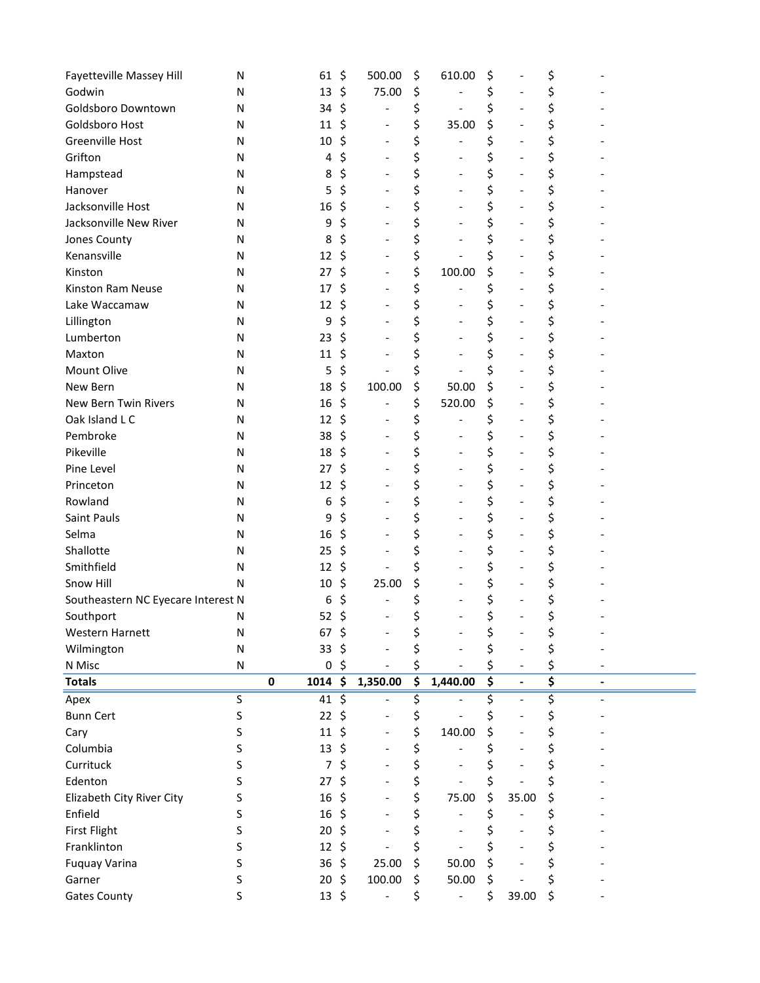| <b>Fayetteville Massey Hill</b>    | N         |             | 61          | \$<br>500.00                       | \$                            | 610.00                       | \$                              |                              | \$ |
|------------------------------------|-----------|-------------|-------------|------------------------------------|-------------------------------|------------------------------|---------------------------------|------------------------------|----|
| Godwin                             | N         |             | 13          | \$<br>75.00                        | \$                            |                              | \$                              |                              | \$ |
| Goldsboro Downtown                 | N         |             | 34          | \$                                 | \$                            |                              | \$                              |                              | \$ |
| Goldsboro Host                     | N         |             | 11          | \$<br>$\overline{\phantom{m}}$     | \$                            | 35.00                        | \$                              |                              | \$ |
| Greenville Host                    | N         |             | 10          | \$<br>$\overline{\phantom{m}}$     | \$                            |                              | \$                              |                              | \$ |
| Grifton                            | N         |             | 4           | \$<br>$\overline{\phantom{a}}$     | \$                            |                              | \$                              | $\qquad \qquad \blacksquare$ | \$ |
| Hampstead                          | N         |             | 8           | \$<br>$\overline{\phantom{a}}$     | \$                            | $\overline{\phantom{a}}$     | \$                              | $\qquad \qquad \blacksquare$ | \$ |
| Hanover                            | N         |             | 5           | \$                                 | \$                            |                              | \$                              |                              | \$ |
| Jacksonville Host                  | N         |             | 16          | \$                                 | \$                            |                              | \$                              |                              | \$ |
| Jacksonville New River             | N         |             | 9           | \$                                 | \$                            |                              | \$                              |                              | \$ |
| Jones County                       | N         |             | 8           | \$                                 | \$                            |                              | \$                              | $\qquad \qquad \blacksquare$ | \$ |
| Kenansville                        | N         |             | 12          | \$<br>$\overline{\phantom{a}}$     | \$                            |                              | \$                              | $\overline{\phantom{0}}$     | \$ |
| Kinston                            | N         |             | 27          | \$<br>$\overline{\phantom{a}}$     | \$                            | 100.00                       | \$                              |                              | \$ |
| Kinston Ram Neuse                  | N         |             | 17          | \$                                 | \$                            |                              | \$                              |                              | \$ |
| Lake Waccamaw                      | N         |             | 12          | \$                                 | \$                            |                              | \$                              |                              | \$ |
| Lillington                         | N         |             | 9           | \$                                 | \$                            |                              | \$                              | $\overline{\phantom{0}}$     | \$ |
| Lumberton                          | N         |             | 23          | \$<br>$\overline{\phantom{a}}$     | \$                            | $\qquad \qquad \blacksquare$ | \$                              | $\overline{\phantom{0}}$     | \$ |
| Maxton                             | N         |             | 11          | \$                                 | \$                            |                              | \$                              |                              | \$ |
| Mount Olive                        | N         |             | 5           | \$                                 | \$                            |                              | \$                              |                              | \$ |
| New Bern                           | N         |             | 18          | \$<br>100.00                       | \$                            | 50.00                        | \$                              |                              | \$ |
| New Bern Twin Rivers               | N         |             | 16          | \$                                 | \$                            | 520.00                       | \$                              |                              | \$ |
| Oak Island L C                     | N         |             | 12          | \$<br>$\overline{\phantom{a}}$     | \$                            |                              | \$                              | $\qquad \qquad \blacksquare$ | \$ |
| Pembroke                           | N         |             | 38          | \$<br>$\overline{\phantom{a}}$     | \$                            |                              | \$                              |                              | \$ |
| Pikeville                          | N         |             | 18          | \$                                 | \$                            |                              | \$                              |                              | \$ |
| Pine Level                         | N         |             | 27          | \$<br>$\overline{a}$               | \$                            |                              | \$                              | $\overline{a}$               | \$ |
| Princeton                          | N         |             | 12          | \$                                 | \$                            | $\overline{\phantom{a}}$     | \$                              | $\overline{\phantom{0}}$     | \$ |
| Rowland                            | N         |             | 6           | \$<br>$\overline{a}$               | \$                            | $\overline{\phantom{a}}$     | \$                              | $\qquad \qquad \blacksquare$ | \$ |
| Saint Pauls                        | N         |             | 9           | \$                                 | \$                            |                              | \$                              |                              | \$ |
| Selma                              | N         |             | 16          | \$                                 | \$                            |                              | \$                              |                              | \$ |
| Shallotte                          | N         |             | 25          | \$                                 | \$                            |                              | \$                              |                              | \$ |
| Smithfield                         | N         |             | 12          | \$                                 | \$                            |                              | \$                              | $\qquad \qquad \blacksquare$ | \$ |
| Snow Hill                          | N         |             | 10          | \$<br>25.00                        | \$                            | $\overline{\phantom{a}}$     | \$                              | $\qquad \qquad \blacksquare$ | \$ |
| Southeastern NC Eyecare Interest N |           |             | 6           | \$                                 | \$                            |                              | \$                              |                              | \$ |
| Southport                          | N         |             | 52          | \$                                 | \$                            |                              | \$                              |                              | \$ |
| Western Harnett                    | N         |             | 67          | \$                                 | \$                            |                              | \$                              |                              | \$ |
| Wilmington                         | ${\sf N}$ |             | 33          | \$                                 | \$                            |                              | \$                              |                              | \$ |
| N Misc                             | N         |             | 0           | \$                                 | \$                            |                              | \$                              |                              | \$ |
| <b>Totals</b>                      |           | $\mathbf 0$ | 1014        | \$<br>1,350.00                     | $\overline{\boldsymbol{\xi}}$ | 1,440.00                     | $\overline{\boldsymbol{\zeta}}$ | $\overline{a}$               | \$ |
| Apex                               | S         |             | 41          | \$                                 | \$,                           |                              | \$                              |                              | \$ |
| <b>Bunn Cert</b>                   | S         |             | 22          | \$<br>$\qquad \qquad \blacksquare$ | \$                            |                              | \$                              |                              | \$ |
| Cary                               | S         |             | 11          | \$<br>$\qquad \qquad \blacksquare$ | \$                            | 140.00                       | \$                              |                              | \$ |
| Columbia                           | S         |             | 13          | \$                                 | \$                            |                              | \$                              |                              | \$ |
| Currituck                          | S         |             | 7           | \$                                 | \$                            |                              |                                 |                              | \$ |
| Edenton                            | S         |             | 27          | \$                                 | \$                            |                              | \$                              |                              | \$ |
| Elizabeth City River City          | S         |             | 16          | \$                                 | \$                            | 75.00                        | \$                              | 35.00                        | \$ |
| Enfield                            | S         |             | 16          | \$<br>$\overline{\phantom{a}}$     | \$                            |                              | \$                              |                              | \$ |
| <b>First Flight</b>                | S         |             | 20          | \$                                 | \$                            |                              |                                 |                              |    |
| Franklinton                        | S         |             | 12          | \$                                 | \$                            |                              | \$                              |                              | \$ |
| <b>Fuquay Varina</b>               | S         |             | 36          | \$<br>25.00                        | \$                            | 50.00                        | \$                              |                              | \$ |
| Garner                             | S         |             | 20          | \$<br>100.00                       | \$                            | 50.00                        | \$                              |                              | \$ |
| <b>Gates County</b>                | S         |             | $13 \; \xi$ | -                                  | \$                            | $\overline{\phantom{m}}$     | \$                              | 39.00                        | \$ |
|                                    |           |             |             |                                    |                               |                              |                                 |                              |    |